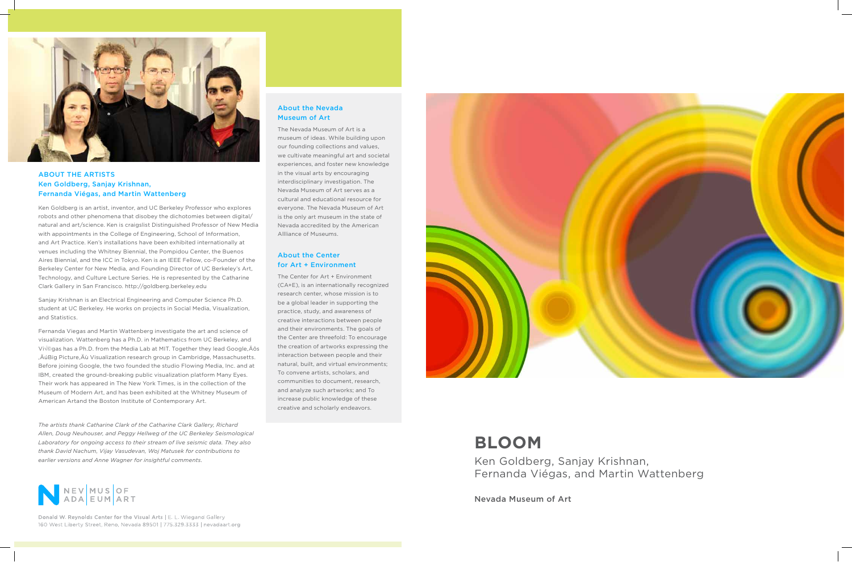# **BLOOM**

Ken Goldberg, Sanjay Krishnan, Fernanda Viégas, and Martin Wattenberg

Nevada Museum of Art



## About the Artists Ken Goldberg, Sanjay Krishnan, Fernanda Viégas, and Martin Wattenberg

Ken Goldberg is an artist, inventor, and UC Berkeley Professor who explores robots and other phenomena that disobey the dichotomies between digital/ natural and art/science. Ken is craigslist Distinguished Professor of New Media with appointments in the College of Engineering, School of Information, and Art Practice. Ken's installations have been exhibited internationally at venues including the Whitney Biennial, the Pompidou Center, the Buenos Aires Biennial, and the ICC in Tokyo. Ken is an IEEE Fellow, co-Founder of the Berkeley Center for New Media, and Founding Director of UC Berkeley's Art, Technology, and Culture Lecture Series. He is represented by the Catharine Clark Gallery in San Francisco. http://goldberg.berkeley.edu

Sanjay Krishnan is an Electrical Engineering and Computer Science Ph.D. student at UC Berkeley. He works on projects in Social Media, Visualization, and Statistics.

Fernanda Viegas and Martin Wattenberg investigate the art and science of visualization. Wattenberg has a Ph.D. in Mathematics from UC Berkeley, and Viégas has a Ph.D. from the Media Lab at MIT. Together they lead Google, Äôs , ÄúBig Picture, Äù Visualization research group in Cambridge, Massachusetts. Before joining Google, the two founded the studio Flowing Media, Inc. and at IBM, created the ground-breaking public visualization platform Many Eyes. Their work has appeared in The New York Times, is in the collection of the Museum of Modern Art, and has been exhibited at the Whitney Museum of American Artand the Boston Institute of Contemporary Art.

### About the Nevada Museum of Art

The Nevada Museum of Art is a museum of ideas. While building upon our founding collections and values, we cultivate meaningful art and societal experiences, and foster new knowledge in the visual arts by encouraging interdisciplinary investigation. The Nevada Museum of Art serves as a cultural and educational resource for everyone. The Nevada Museum of Art is the only art museum in the state of Nevada accredited by the American Allliance of Museums.

## About the Center for Art + Environment

The Center for Art + Environment (CA+E), is an internationally recognized research center, whose mission is to be a global leader in supporting the practice, study, and awareness of creative interactions between people and their environments. The goals of the Center are threefold: To encourage the creation of artworks expressing the interaction between people and their natural, built, and virtual environments; To convene artists, scholars, and communities to document, research, and analyze such artworks; and To increase public knowledge of these creative and scholarly endeavors.



*The artists thank Catharine Clark of the Catharine Clark Gallery, Richard Allen, Doug Neuhouser, and Peggy Hellweg of the UC Berkeley Seismological Laboratory for ongoing access to their stream of live seismic data. They also thank David Nachum, Vijay Vasudevan, Woj Matusek for contributions to earlier versions and Anne Wagner for insightful comments.*



Donald W. Reynolds Center for the Visual Arts | E. L. Wiegand Gallery 160 West Liberty Street, Reno, Nevada 89501 | 775.329.3333 | nevadaart.org